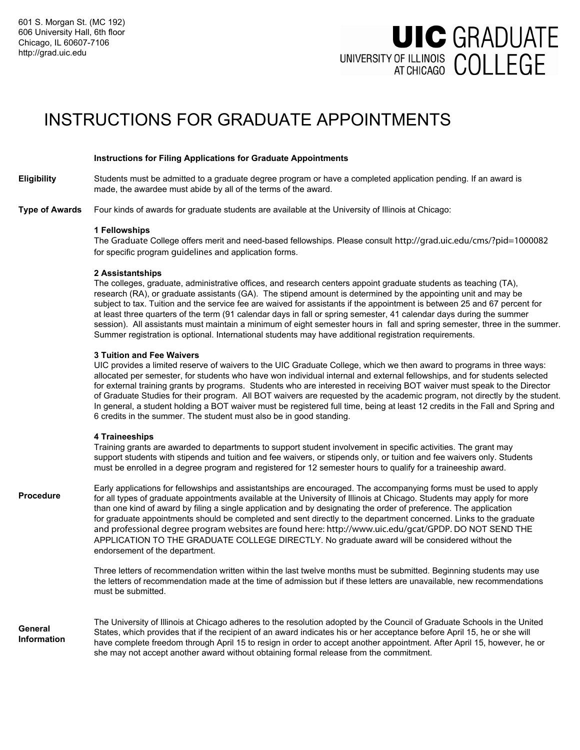# **UIC GRADUATE** UNIVERSITY OF ILLINOIS COLLEGE

## INSTRUCTIONS FOR GRADUATE APPOINTMENTS

#### **Instructions for Filing Applications for Graduate Appointments**

Students must be admitted to a graduate degree program or have a completed application pending. If an award is made, the awardee must abide by all of the terms of the award. **Eligibility** 

Four kinds of awards for graduate students are available at the University of Illinois at Chicago: **Type of Awards** 

#### **1 Fellowships**

The Graduate College offers merit and need-based fellowships. Please consult http://grad.uic.edu/cms/?pid=1000082 for specific program guidelines and application forms.

#### **2 Assistantships**

The colleges, graduate, administrative offices, and research centers appoint graduate students as teaching (TA), research (RA), or graduate assistants (GA). The stipend amount is determined by the appointing unit and may be subject to tax. Tuition and the service fee are waived for assistants if the appointment is between 25 and 67 percent for at least three quarters of the term (91 calendar days in fall or spring semester, 41 calendar days during the summer session). All assistants must maintain a minimum of eight semester hours in fall and spring semester, three in the summer. Summer registration is optional. International students may have additional registration requirements.

#### **3 Tuition and Fee Waivers**

UIC provides a limited reserve of waivers to the UIC Graduate College, which we then award to programs in three ways: allocated per semester, for students who have won individual internal and external fellowships, and for students selected for external training grants by programs. Students who are interested in receiving BOT waiver must speak to the Director of Graduate Studies for their program. All BOT waivers are requested by the academic program, not directly by the student. In general, a student holding a BOT waiver must be registered full time, being at least 12 credits in the Fall and Spring and 6 credits in the summer. The student must also be in good standing.

#### **4 Traineeships**

Training grants are awarded to departments to support student involvement in specific activities. The grant may support students with stipends and tuition and fee waivers, or stipends only, or tuition and fee waivers only. Students must be enrolled in a degree program and registered for 12 semester hours to qualify for a traineeship award.

Early applications for fellowships and assistantships are encouraged. The accompanying forms must be used to apply for all types of graduate appointments available at the University of Illinois at Chicago. Students may apply for more than one kind of award by filing a single application and by designating the order of preference. The application for graduate appointments should be completed and sent directly to the department concerned. Links to the graduate and professional degree program websites are found here: http://www.uic.edu/gcat/GPDP. DO NOT SEND THE APPLICATION TO THE GRADUATE COLLEGE DIRECTLY. No graduate award will be considered without the endorsement of the department. **Procedure** 

> Three letters of recommendation written within the last twelve months must be submitted. Beginning students may use the letters of recommendation made at the time of admission but if these letters are unavailable, new recommendations must be submitted.

The University of Illinois at Chicago adheres to the resolution adopted by the Council of Graduate Schools in the United States, which provides that if the recipient of an award indicates his or her acceptance before April 15, he or she will have complete freedom through April 15 to resign in order to accept another appointment. After April 15, however, he or she may not accept another award without obtaining formal release from the commitment. **General Information**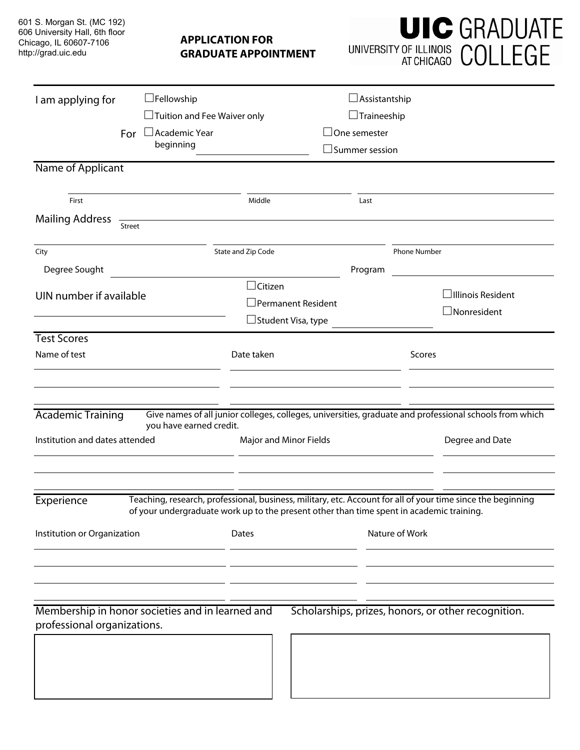601 S. Morgan St. (MC 192) 606 University Hall, 6th floor Chicago, IL 60607-7106 http://grad.uic.edu

### **APPLICATION FOR GRADUATE APPOINTMENT**

|                                | <b>UIC GRADUATE</b> |
|--------------------------------|---------------------|
| UNIVERSITY OF ILLINOIS COLLEGE |                     |

| I am applying for                                                                     | $\Box$ Fellowship                                |                                                                                                   | $\Box$ Assistantship                                                                      |                                                                                                                            |  |
|---------------------------------------------------------------------------------------|--------------------------------------------------|---------------------------------------------------------------------------------------------------|-------------------------------------------------------------------------------------------|----------------------------------------------------------------------------------------------------------------------------|--|
|                                                                                       | $\Box$ Tuition and Fee Waiver only               |                                                                                                   | $\Box$ Traineeship                                                                        |                                                                                                                            |  |
|                                                                                       | For □ Academic Year                              |                                                                                                   | $\operatorname{\mathsf{\rule{1pt}{1pt}\rule{1pt}{1pt}}\mathord{\mathsf{I}}}$ One semester |                                                                                                                            |  |
| beginning                                                                             |                                                  |                                                                                                   | $\operatorname{\mathsf{J}}$ Summer session                                                |                                                                                                                            |  |
| Name of Applicant                                                                     |                                                  |                                                                                                   |                                                                                           |                                                                                                                            |  |
| First                                                                                 |                                                  | Middle                                                                                            |                                                                                           |                                                                                                                            |  |
|                                                                                       |                                                  |                                                                                                   | Last                                                                                      |                                                                                                                            |  |
| <b>Mailing Address</b>                                                                | Street                                           | the control of the control of the control of the control of the control of                        |                                                                                           |                                                                                                                            |  |
| City                                                                                  |                                                  | State and Zip Code                                                                                |                                                                                           | Phone Number                                                                                                               |  |
| Degree Sought                                                                         |                                                  |                                                                                                   | Program                                                                                   |                                                                                                                            |  |
|                                                                                       |                                                  | $\Box$ Citizen                                                                                    |                                                                                           |                                                                                                                            |  |
| UIN number if available                                                               |                                                  | $\Box$ Permanent Resident                                                                         |                                                                                           | $\Box$ Illinois Resident                                                                                                   |  |
|                                                                                       |                                                  | $\Box$ Student Visa, type                                                                         |                                                                                           | $\Box$ Nonresident                                                                                                         |  |
| <b>Test Scores</b>                                                                    |                                                  |                                                                                                   |                                                                                           |                                                                                                                            |  |
| Name of test                                                                          |                                                  | Date taken                                                                                        |                                                                                           | Scores                                                                                                                     |  |
| <b>Academic Training</b><br>you have earned credit.<br>Institution and dates attended |                                                  | Major and Minor Fields                                                                            |                                                                                           | Give names of all junior colleges, colleges, universities, graduate and professional schools from which<br>Degree and Date |  |
| Experience<br>Institution or Organization                                             |                                                  | of your undergraduate work up to the present other than time spent in academic training.<br>Dates | Nature of Work                                                                            | Teaching, research, professional, business, military, etc. Account for all of your time since the beginning                |  |
| professional organizations.                                                           | Membership in honor societies and in learned and |                                                                                                   |                                                                                           | Scholarships, prizes, honors, or other recognition.                                                                        |  |